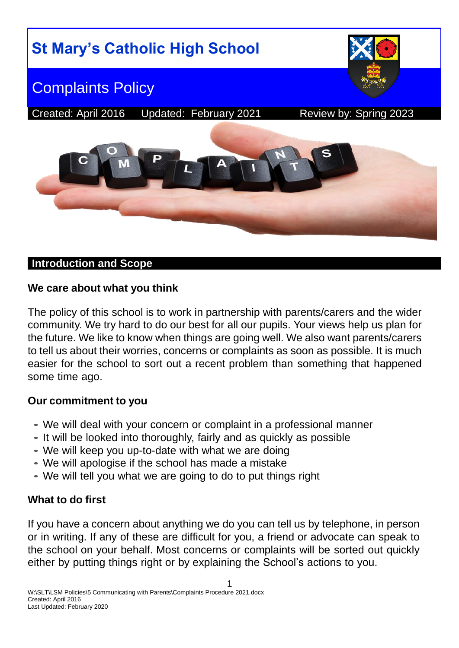

#### **Introduction and Scope**

#### **We care about what you think**

The policy of this school is to work in partnership with parents/carers and the wider community. We try hard to do our best for all our pupils. Your views help us plan for the future. We like to know when things are going well. We also want parents/carers to tell us about their worries, concerns or complaints as soon as possible. It is much easier for the school to sort out a recent problem than something that happened some time ago.

#### **Our commitment to you**

- We will deal with your concern or complaint in a professional manner
- It will be looked into thoroughly, fairly and as quickly as possible
- We will keep you up-to-date with what we are doing
- We will apologise if the school has made a mistake
- We will tell you what we are going to do to put things right

## **What to do first**

If you have a concern about anything we do you can tell us by telephone, in person or in writing. If any of these are difficult for you, a friend or advocate can speak to the school on your behalf. Most concerns or complaints will be sorted out quickly either by putting things right or by explaining the School's actions to you.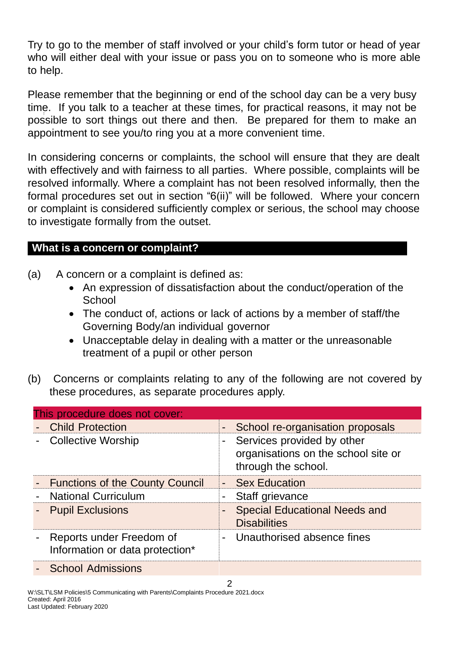Try to go to the member of staff involved or your child's form tutor or head of year who will either deal with your issue or pass you on to someone who is more able to help.

Please remember that the beginning or end of the school day can be a very busy time. If you talk to a teacher at these times, for practical reasons, it may not be possible to sort things out there and then. Be prepared for them to make an appointment to see you/to ring you at a more convenient time.

In considering concerns or complaints, the school will ensure that they are dealt with effectively and with fairness to all parties. Where possible, complaints will be resolved informally. Where a complaint has not been resolved informally, then the formal procedures set out in section "6(ii)" will be followed. Where your concern or complaint is considered sufficiently complex or serious, the school may choose to investigate formally from the outset.

### **What is a concern or complaint?**

- (a) A concern or a complaint is defined as:
	- An expression of dissatisfaction about the conduct/operation of the **School**
	- The conduct of, actions or lack of actions by a member of staff/the Governing Body/an individual governor
	- Unacceptable delay in dealing with a matter or the unreasonable treatment of a pupil or other person
- (b) Concerns or complaints relating to any of the following are not covered by these procedures, as separate procedures apply.

| This procedure does not cover:                                |                                                                                            |  |  |  |  |
|---------------------------------------------------------------|--------------------------------------------------------------------------------------------|--|--|--|--|
| <b>Child Protection</b>                                       | School re-organisation proposals<br>$\sim$                                                 |  |  |  |  |
| - Collective Worship                                          | - Services provided by other<br>organisations on the school site or<br>through the school. |  |  |  |  |
| <b>Functions of the County Council</b>                        | - Sex Education                                                                            |  |  |  |  |
| <b>National Curriculum</b>                                    | Staff grievance<br>$\blacksquare$ .                                                        |  |  |  |  |
| <b>Pupil Exclusions</b>                                       | <b>Special Educational Needs and</b><br><b>Disabilities</b>                                |  |  |  |  |
| - Reports under Freedom of<br>Information or data protection* | - Unauthorised absence fines                                                               |  |  |  |  |
| <b>School Admissions</b>                                      |                                                                                            |  |  |  |  |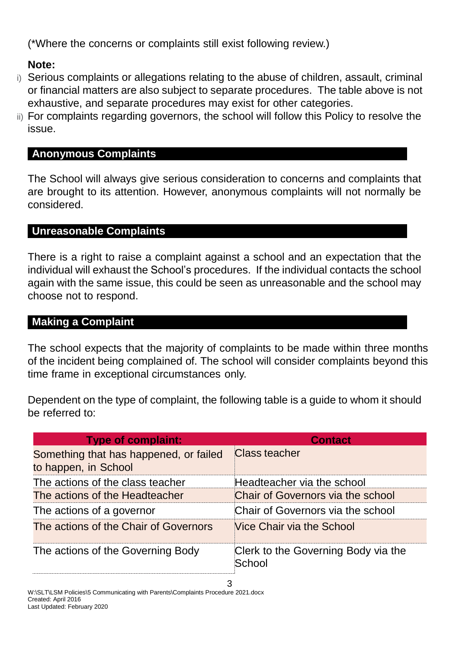(\*Where the concerns or complaints still exist following review.)

## **Note:**

- i) Serious complaints or allegations relating to the abuse of children, assault, criminal or financial matters are also subject to separate procedures. The table above is not exhaustive, and separate procedures may exist for other categories.
- ii) For complaints regarding governors, the school will follow this Policy to resolve the issue.

### **Anonymous Complaints**

The School will always give serious consideration to concerns and complaints that are brought to its attention. However, anonymous complaints will not normally be considered.

### **Unreasonable Complaints**

There is a right to raise a complaint against a school and an expectation that the individual will exhaust the School's procedures. If the individual contacts the school again with the same issue, this could be seen as unreasonable and the school may choose not to respond.

## **Making a Complaint**

The school expects that the majority of complaints to be made within three months of the incident being complained of. The school will consider complaints beyond this time frame in exceptional circumstances only.

Dependent on the type of complaint, the following table is a guide to whom it should be referred to:

| <b>Type of complaint:</b>                                      | <b>Contact</b>                                |
|----------------------------------------------------------------|-----------------------------------------------|
| Something that has happened, or failed<br>to happen, in School | <b>Class teacher</b>                          |
| The actions of the class teacher                               | Headteacher via the school                    |
| The actions of the Headteacher                                 | Chair of Governors via the school             |
| The actions of a governor                                      | Chair of Governors via the school             |
| The actions of the Chair of Governors                          | Vice Chair via the School                     |
| The actions of the Governing Body                              | Clerk to the Governing Body via the<br>School |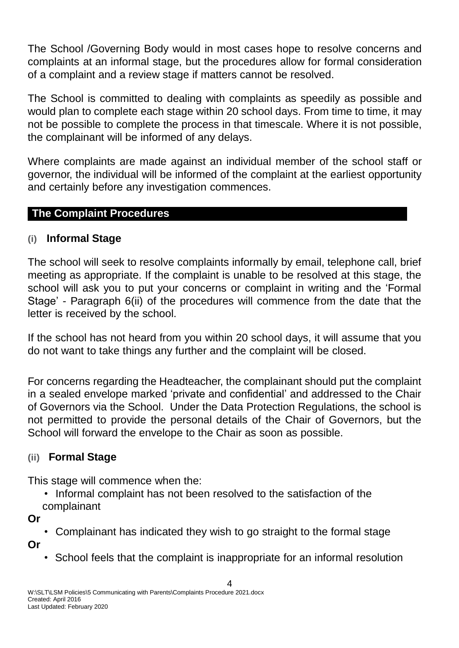The School /Governing Body would in most cases hope to resolve concerns and complaints at an informal stage, but the procedures allow for formal consideration of a complaint and a review stage if matters cannot be resolved.

The School is committed to dealing with complaints as speedily as possible and would plan to complete each stage within 20 school days. From time to time, it may not be possible to complete the process in that timescale. Where it is not possible, the complainant will be informed of any delays.

Where complaints are made against an individual member of the school staff or governor, the individual will be informed of the complaint at the earliest opportunity and certainly before any investigation commences.

### **The Complaint Procedures**

#### **(i) Informal Stage**

The school will seek to resolve complaints informally by email, telephone call, brief meeting as appropriate. If the complaint is unable to be resolved at this stage, the school will ask you to put your concerns or complaint in writing and the 'Formal Stage' - Paragraph 6(ii) of the procedures will commence from the date that the letter is received by the school.

If the school has not heard from you within 20 school days, it will assume that you do not want to take things any further and the complaint will be closed.

For concerns regarding the Headteacher, the complainant should put the complaint in a sealed envelope marked 'private and confidential' and addressed to the Chair of Governors via the School. Under the Data Protection Regulations, the school is not permitted to provide the personal details of the Chair of Governors, but the School will forward the envelope to the Chair as soon as possible.

#### **(ii) Formal Stage**

This stage will commence when the:

• Informal complaint has not been resolved to the satisfaction of the complainant

**Or**

• Complainant has indicated they wish to go straight to the formal stage

**Or**

• School feels that the complaint is inappropriate for an informal resolution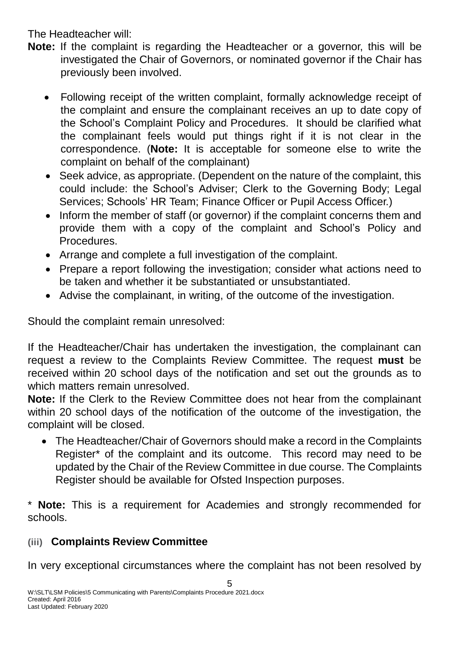The Headteacher will:

- **Note:** If the complaint is regarding the Headteacher or a governor, this will be investigated the Chair of Governors, or nominated governor if the Chair has previously been involved.
	- Following receipt of the written complaint, formally acknowledge receipt of the complaint and ensure the complainant receives an up to date copy of the School's Complaint Policy and Procedures. It should be clarified what the complainant feels would put things right if it is not clear in the correspondence. (**Note:** It is acceptable for someone else to write the complaint on behalf of the complainant)
	- Seek advice, as appropriate. (Dependent on the nature of the complaint, this could include: the School's Adviser; Clerk to the Governing Body; Legal Services; Schools' HR Team; Finance Officer or Pupil Access Officer.)
	- Inform the member of staff (or governor) if the complaint concerns them and provide them with a copy of the complaint and School's Policy and **Procedures**
	- Arrange and complete a full investigation of the complaint.
	- Prepare a report following the investigation; consider what actions need to be taken and whether it be substantiated or unsubstantiated.
	- Advise the complainant, in writing, of the outcome of the investigation.

Should the complaint remain unresolved:

If the Headteacher/Chair has undertaken the investigation, the complainant can request a review to the Complaints Review Committee. The request **must** be received within 20 school days of the notification and set out the grounds as to which matters remain unresolved.

**Note:** If the Clerk to the Review Committee does not hear from the complainant within 20 school days of the notification of the outcome of the investigation, the complaint will be closed.

 The Headteacher/Chair of Governors should make a record in the Complaints Register\* of the complaint and its outcome. This record may need to be updated by the Chair of the Review Committee in due course. The Complaints Register should be available for Ofsted Inspection purposes.

\* **Note:** This is a requirement for Academies and strongly recommended for schools.

## **(iii) Complaints Review Committee**

In very exceptional circumstances where the complaint has not been resolved by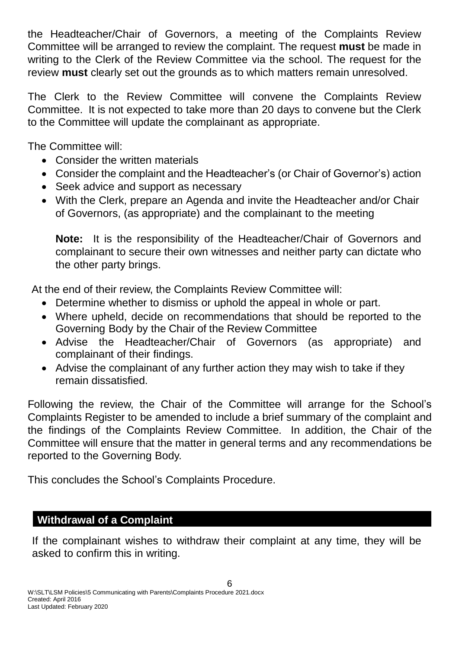the Headteacher/Chair of Governors, a meeting of the Complaints Review Committee will be arranged to review the complaint. The request **must** be made in writing to the Clerk of the Review Committee via the school. The request for the review **must** clearly set out the grounds as to which matters remain unresolved.

The Clerk to the Review Committee will convene the Complaints Review Committee. It is not expected to take more than 20 days to convene but the Clerk to the Committee will update the complainant as appropriate.

The Committee will:

- Consider the written materials
- Consider the complaint and the Headteacher's (or Chair of Governor's) action
- Seek advice and support as necessary
- With the Clerk, prepare an Agenda and invite the Headteacher and/or Chair of Governors, (as appropriate) and the complainant to the meeting

**Note:** It is the responsibility of the Headteacher/Chair of Governors and complainant to secure their own witnesses and neither party can dictate who the other party brings.

At the end of their review, the Complaints Review Committee will:

- Determine whether to dismiss or uphold the appeal in whole or part.
- Where upheld, decide on recommendations that should be reported to the Governing Body by the Chair of the Review Committee
- Advise the Headteacher/Chair of Governors (as appropriate) and complainant of their findings.
- Advise the complainant of any further action they may wish to take if they remain dissatisfied.

Following the review, the Chair of the Committee will arrange for the School's Complaints Register to be amended to include a brief summary of the complaint and the findings of the Complaints Review Committee. In addition, the Chair of the Committee will ensure that the matter in general terms and any recommendations be reported to the Governing Body.

This concludes the School's Complaints Procedure.

# **Withdrawal of a Complaint**

If the complainant wishes to withdraw their complaint at any time, they will be asked to confirm this in writing.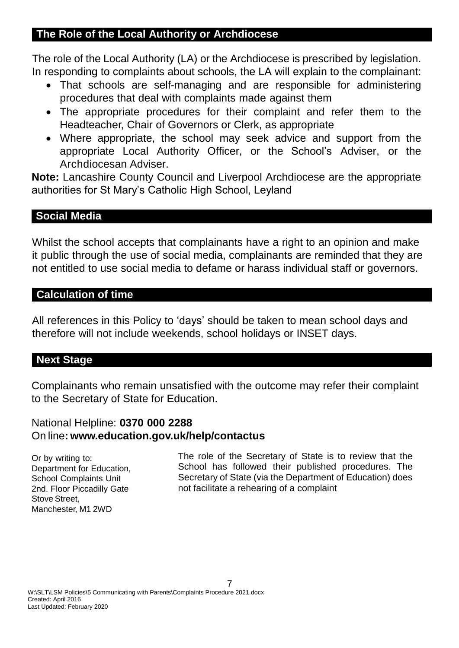### **The Role of the Local Authority or Archdiocese**

The role of the Local Authority (LA) or the Archdiocese is prescribed by legislation. In responding to complaints about schools, the LA will explain to the complainant:

- That schools are self-managing and are responsible for administering procedures that deal with complaints made against them
- The appropriate procedures for their complaint and refer them to the Headteacher, Chair of Governors or Clerk, as appropriate
- Where appropriate, the school may seek advice and support from the appropriate Local Authority Officer, or the School's Adviser, or the Archdiocesan Adviser.

**Note:** Lancashire County Council and Liverpool Archdiocese are the appropriate authorities for St Mary's Catholic High School, Leyland

### **Social Media**

Whilst the school accepts that complainants have a right to an opinion and make it public through the use of social media, complainants are reminded that they are not entitled to use social media to defame or harass individual staff or governors.

#### **Calculation of time**

All references in this Policy to 'days' should be taken to mean school days and therefore will not include weekends, school holidays or INSET days.

## **Next Stage**

Complainants who remain unsatisfied with the outcome may refer their complaint to the Secretary of State for Education.

#### National Helpline: **0370 000 2288** On line**: [www.education.gov.uk/help/contactus](http://www.education.gov.uk/help/contactus)**

Or by writing to: Department for Education, School Complaints Unit 2nd. Floor Piccadilly Gate Stove Street, Manchester, M1 2WD

The role of the Secretary of State is to review that the School has followed their published procedures. The Secretary of State (via the Department of Education) does not facilitate a rehearing of a complaint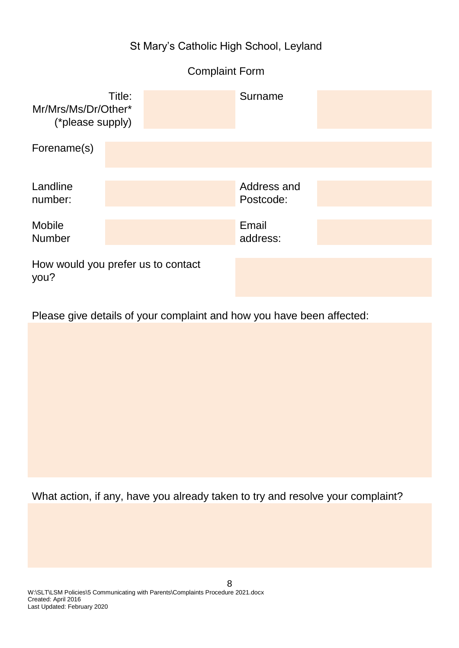## St Mary's Catholic High School, Leyland

# Complaint Form

| Mr/Mrs/Ms/Dr/Other*<br>(*please supply) | Title:                             | Surname                  |  |
|-----------------------------------------|------------------------------------|--------------------------|--|
| Forename(s)                             |                                    |                          |  |
| Landline<br>number:                     |                                    | Address and<br>Postcode: |  |
| <b>Mobile</b><br><b>Number</b>          |                                    | Email<br>address:        |  |
| you?                                    | How would you prefer us to contact |                          |  |

Please give details of your complaint and how you have been affected:

What action, if any, have you already taken to try and resolve your complaint?